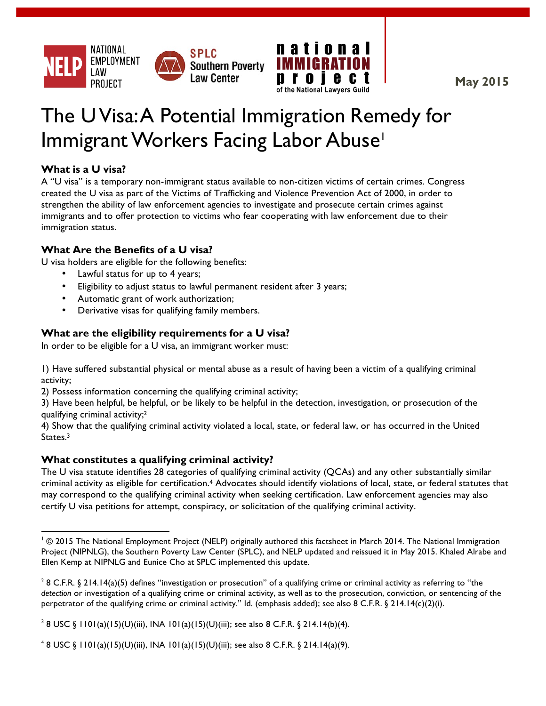



**May 2015**

# The UVisa:A Potential Immigration Remedy for Immigrant Workers Facing Labor Abuse<sup>1</sup>

## **What is a U visa?**

A "U visa" is a temporary non-immigrant status available to non-citizen victims of certain crimes. Congress created the U visa as part of the Victims of Trafficking and Violence Prevention Act of 2000, in order to strengthen the ability of law enforcement agencies to investigate and prosecute certain crimes against immigrants and to offer protection to victims who fear cooperating with law enforcement due to their immigration status.

## **What Are the Benefits of a U visa?**

U visa holders are eligible for the following benefits:

- Lawful status for up to 4 years;
- Eligibility to adjust status to lawful permanent resident after 3 years;
- Automatic grant of work authorization;
- Derivative visas for qualifying family members.

# **What are the eligibility requirements for a U visa?**

In order to be eligible for a U visa, an immigrant worker must:

1) Have suffered substantial physical or mental abuse as a result of having been a victim of a qualifying criminal activity;

2) Possess information concerning the qualifying criminal activity;

3) Have been helpful, be helpful, or be likely to be helpful in the detection, investigation, or prosecution of the qualifying criminal activity;2

4) Show that the qualifying criminal activity violated a local, state, or federal law, or has occurred in the United States.<sup>3</sup>

## **What constitutes a qualifying criminal activity?**

<u> 1989 - Jan Samuel Barbara, político establecido de la provincia de la provincia de la provincia de la provinci</u>

The U visa statute identifies 28 categories of qualifying criminal activity (QCAs) and any other substantially similar criminal activity as eligible for certification.4 Advocates should identify violations of local, state, or federal statutes that may correspond to the qualifying criminal activity when seeking certification. Law enforcement agencies may also certify U visa petitions for attempt, conspiracy, or solicitation of the qualifying criminal activity.

<sup>4</sup> 8 USC § 1101(a)(15)(U)(iii), INA 101(a)(15)(U)(iii); see also 8 C.F.R. § 214.14(a)(9).

<sup>&</sup>lt;sup>1</sup> © 2015 The National Employment Project (NELP) originally authored this factsheet in March 2014. The National Immigration Project (NIPNLG), the Southern Poverty Law Center (SPLC), and NELP updated and reissued it in May 2015. Khaled Alrabe and Ellen Kemp at NIPNLG and Eunice Cho at SPLC implemented this update.

<sup>&</sup>lt;sup>2</sup> 8 C.F.R. § 214.14(a)(5) defines "investigation or prosecution" of a qualifying crime or criminal activity as referring to "the *detection* or investigation of a qualifying crime or criminal activity, as well as to the prosecution, conviction, or sentencing of the perpetrator of the qualifying crime or criminal activity." Id. (emphasis added); see also 8 C.F.R. § 214.14(c)(2)(i).

<sup>&</sup>lt;sup>3</sup> 8 USC § 1101(a)(15)(U)(iii), INA 101(a)(15)(U)(iii); see also 8 C.F.R. § 214.14(b)(4).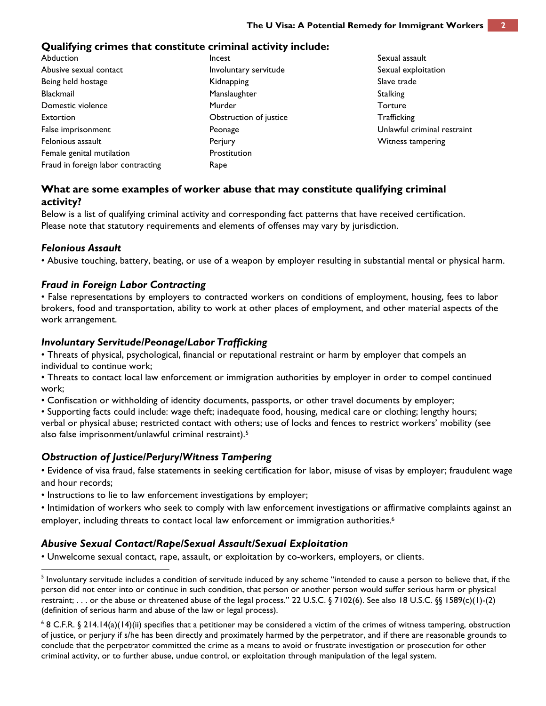#### **Qualifying crimes that constitute criminal activity include:**

Abduction Abusive sexual contact Being held hostage Blackmail Domestic violence Extortion False imprisonment Felonious assault Female genital mutilation Fraud in foreign labor contracting Incest Involuntary servitude Kidnapping Manslaughter Murder Obstruction of justice Peonage **Perjury** Prostitution Rape

Sexual assault Sexual exploitation Slave trade **Stalking Torture Trafficking** Unlawful criminal restraint Witness tampering

## **What are some examples of worker abuse that may constitute qualifying criminal activity?**

Below is a list of qualifying criminal activity and corresponding fact patterns that have received certification. Please note that statutory requirements and elements of offenses may vary by jurisdiction.

#### *Felonious Assault*

• Abusive touching, battery, beating, or use of a weapon by employer resulting in substantial mental or physical harm.

#### *Fraud in Foreign Labor Contracting*

• False representations by employers to contracted workers on conditions of employment, housing, fees to labor brokers, food and transportation, ability to work at other places of employment, and other material aspects of the work arrangement.

#### *Involuntary Servitude/Peonage/Labor Trafficking*

• Threats of physical, psychological, financial or reputational restraint or harm by employer that compels an individual to continue work;

• Threats to contact local law enforcement or immigration authorities by employer in order to compel continued work;

• Confiscation or withholding of identity documents, passports, or other travel documents by employer;

• Supporting facts could include: wage theft; inadequate food, housing, medical care or clothing; lengthy hours; verbal or physical abuse; restricted contact with others; use of locks and fences to restrict workers' mobility (see also false imprisonment/unlawful criminal restraint).5

#### *Obstruction of Justice/Perjury/Witness Tampering*

<u> 1989 - Jan Samuel Barbara, político establecido de la provincia de la provincia de la provincia de la provinci</u>

• Evidence of visa fraud, false statements in seeking certification for labor, misuse of visas by employer; fraudulent wage and hour records;

• Instructions to lie to law enforcement investigations by employer;

• Intimidation of workers who seek to comply with law enforcement investigations or affirmative complaints against an employer, including threats to contact local law enforcement or immigration authorities.<sup>6</sup>

#### *Abusive Sexual Contact/Rape/Sexual Assault/Sexual Exploitation*

• Unwelcome sexual contact, rape, assault, or exploitation by co-workers, employers, or clients.

 $^5$  Involuntary servitude includes a condition of servitude induced by any scheme "intended to cause a person to believe that, if the person did not enter into or continue in such condition, that person or another person would suffer serious harm or physical restraint; . . . or the abuse or threatened abuse of the legal process." 22 U.S.C. § 7102(6). See also 18 U.S.C. §§ 1589(c)(1)-(2) (definition of serious harm and abuse of the law or legal process).

 $6$  8 C.F.R. § 214.14(a)(14)(ii) specifies that a petitioner may be considered a victim of the crimes of witness tampering, obstruction of justice, or perjury if s/he has been directly and proximately harmed by the perpetrator, and if there are reasonable grounds to conclude that the perpetrator committed the crime as a means to avoid or frustrate investigation or prosecution for other criminal activity, or to further abuse, undue control, or exploitation through manipulation of the legal system.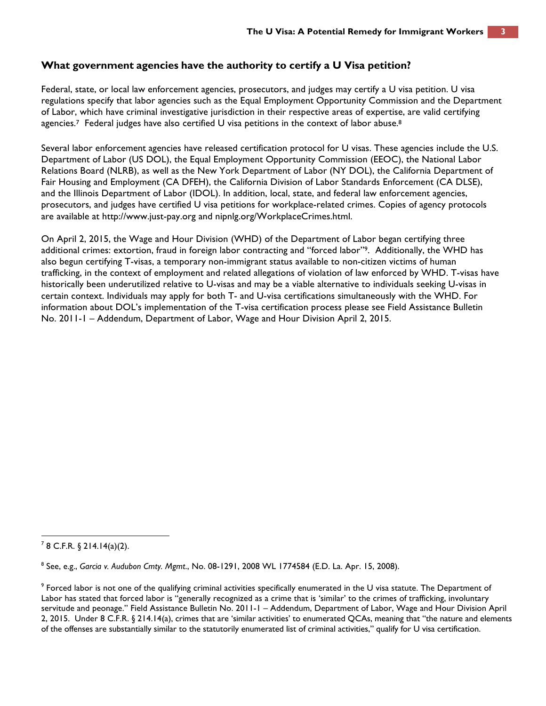## **What government agencies have the authority to certify a U Visa petition?**

Federal, state, or local law enforcement agencies, prosecutors, and judges may certify a U visa petition. U visa regulations specify that labor agencies such as the Equal Employment Opportunity Commission and the Department of Labor, which have criminal investigative jurisdiction in their respective areas of expertise, are valid certifying agencies.<sup>7</sup> Federal judges have also certified U visa petitions in the context of labor abuse.<sup>8</sup>

Several labor enforcement agencies have released certification protocol for U visas. These agencies include the U.S. Department of Labor (US DOL), the Equal Employment Opportunity Commission (EEOC), the National Labor Relations Board (NLRB), as well as the New York Department of Labor (NY DOL), the California Department of Fair Housing and Employment (CA DFEH), the California Division of Labor Standards Enforcement (CA DLSE), and the Illinois Department of Labor (IDOL). In addition, local, state, and federal law enforcement agencies, prosecutors, and judges have certified U visa petitions for workplace-related crimes. Copies of agency protocols are available at http://www.just-pay.org and nipnlg.org/WorkplaceCrimes.html.

On April 2, 2015, the Wage and Hour Division (WHD) of the Department of Labor began certifying three additional crimes: extortion, fraud in foreign labor contracting and "forced labor"9. Additionally, the WHD has also begun certifying T-visas, a temporary non-immigrant status available to non-citizen victims of human trafficking, in the context of employment and related allegations of violation of law enforced by WHD. T-visas have historically been underutilized relative to U-visas and may be a viable alternative to individuals seeking U-visas in certain context. Individuals may apply for both T- and U-visa certifications simultaneously with the WHD. For information about DOL's implementation of the T-visa certification process please see Field Assistance Bulletin No. 2011-1 – Addendum, Department of Labor, Wage and Hour Division April 2, 2015.

<sup>&</sup>lt;u> 1989 - Jan Samuel Barbara, político establecido de la provincia de la provincia de la provincia de la provinci</u>  $78$  C.F.R. § 214.14(a)(2).

<sup>8</sup> See, e.g., *Garcia v. Audubon Cmty. Mgmt*., No. 08-1291, 2008 WL 1774584 (E.D. La. Apr. 15, 2008).

 $^9$  Forced labor is not one of the qualifying criminal activities specifically enumerated in the U visa statute. The Department of Labor has stated that forced labor is "generally recognized as a crime that is 'similar' to the crimes of trafficking, involuntary servitude and peonage." Field Assistance Bulletin No. 2011-1 – Addendum, Department of Labor, Wage and Hour Division April 2, 2015. Under 8 C.F.R. § 214.14(a), crimes that are 'similar activities' to enumerated QCAs, meaning that "the nature and elements of the offenses are substantially similar to the statutorily enumerated list of criminal activities," qualify for U visa certification.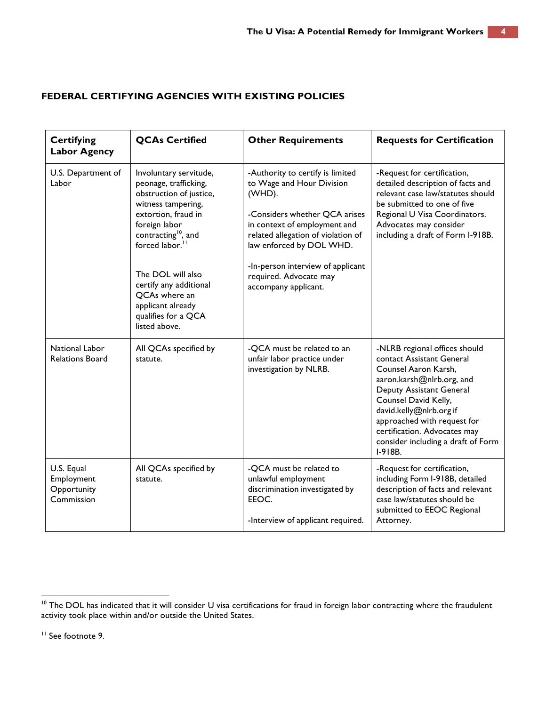## **FEDERAL CERTIFYING AGENCIES WITH EXISTING POLICIES**

| <b>Certifying</b><br><b>Labor Agency</b>              | <b>QCAs Certified</b>                                                                                                                                                                                                                                                                                                                   | <b>Other Requirements</b>                                                                                                                                                                                                                                                                         | <b>Requests for Certification</b>                                                                                                                                                                                                                                                                                |
|-------------------------------------------------------|-----------------------------------------------------------------------------------------------------------------------------------------------------------------------------------------------------------------------------------------------------------------------------------------------------------------------------------------|---------------------------------------------------------------------------------------------------------------------------------------------------------------------------------------------------------------------------------------------------------------------------------------------------|------------------------------------------------------------------------------------------------------------------------------------------------------------------------------------------------------------------------------------------------------------------------------------------------------------------|
| U.S. Department of<br>Labor                           | Involuntary servitude,<br>peonage, trafficking,<br>obstruction of justice,<br>witness tampering,<br>extortion, fraud in<br>foreign labor<br>contracting <sup>10</sup> , and<br>forced labor. <sup>11</sup><br>The DOL will also<br>certify any additional<br>QCAs where an<br>applicant already<br>qualifies for a QCA<br>listed above. | -Authority to certify is limited<br>to Wage and Hour Division<br>(WHD).<br>-Considers whether QCA arises<br>in context of employment and<br>related allegation of violation of<br>law enforced by DOL WHD.<br>-In-person interview of applicant<br>required. Advocate may<br>accompany applicant. | -Request for certification,<br>detailed description of facts and<br>relevant case law/statutes should<br>be submitted to one of five<br>Regional U Visa Coordinators.<br>Advocates may consider<br>including a draft of Form I-918B.                                                                             |
| National Labor<br><b>Relations Board</b>              | All QCAs specified by<br>statute.                                                                                                                                                                                                                                                                                                       | -QCA must be related to an<br>unfair labor practice under<br>investigation by NLRB.                                                                                                                                                                                                               | -NLRB regional offices should<br>contact Assistant General<br>Counsel Aaron Karsh,<br>aaron.karsh@nlrb.org, and<br>Deputy Assistant General<br>Counsel David Kelly,<br>david.kelly@nlrb.org if<br>approached with request for<br>certification. Advocates may<br>consider including a draft of Form<br>$I-918B.$ |
| U.S. Equal<br>Employment<br>Opportunity<br>Commission | All QCAs specified by<br>statute.                                                                                                                                                                                                                                                                                                       | -QCA must be related to<br>unlawful employment<br>discrimination investigated by<br>EEOC.<br>-Interview of applicant required.                                                                                                                                                                    | -Request for certification,<br>including Form I-918B, detailed<br>description of facts and relevant<br>case law/statutes should be<br>submitted to EEOC Regional<br>Attorney.                                                                                                                                    |

 

 $10$  The DOL has indicated that it will consider U visa certifications for fraud in foreign labor contracting where the fraudulent activity took place within and/or outside the United States.

<sup>&</sup>lt;sup>11</sup> See footnote 9.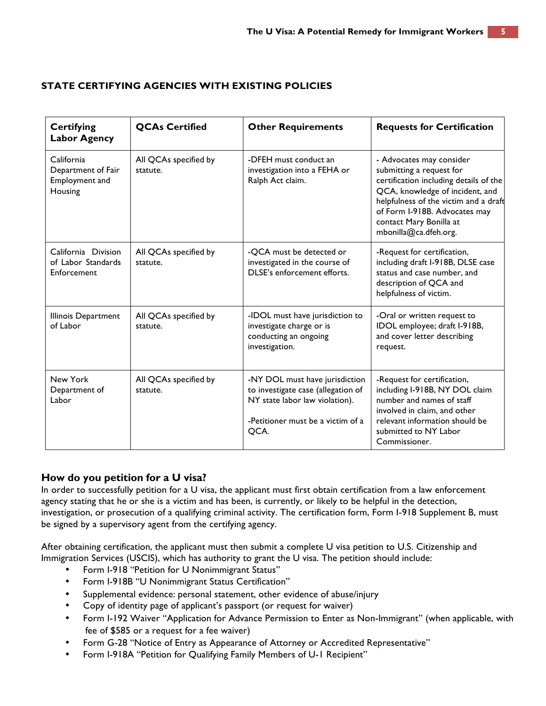## **STATE CERTIFYING AGENCIES WITH EXISTING POLICIES**

| <b>Certifying</b><br><b>Labor Agency</b>                      | <b>OCAs Certified</b>             | <b>Other Requirements</b>                                                                                                                           | <b>Requests for Certification</b>                                                                                                                                                                                                                               |
|---------------------------------------------------------------|-----------------------------------|-----------------------------------------------------------------------------------------------------------------------------------------------------|-----------------------------------------------------------------------------------------------------------------------------------------------------------------------------------------------------------------------------------------------------------------|
| California<br>Department of Fair<br>Employment and<br>Housing | All QCAs specified by<br>statute. | -DFEH must conduct an<br>investigation into a FEHA or<br>Ralph Act claim.                                                                           | - Advocates may consider<br>submitting a request for<br>certification including details of the<br>QCA, knowledge of incident, and<br>helpfulness of the victim and a draft<br>of Form I-918B. Advocates may<br>contact Mary Bonilla at<br>mbonilla@ca.dfeh.org. |
| California Division<br>of Labor Standards<br>Enforcement      | All QCAs specified by<br>statute. | -OCA must be detected or<br>investigated in the course of<br>DLSE's enforcement efforts.                                                            | -Request for certification,<br>including draft I-918B, DLSE case<br>status and case number, and<br>description of QCA and<br>helpfulness of victim.                                                                                                             |
| Illinois Department<br>of Labor                               | All QCAs specified by<br>statute. | -IDOL must have jurisdiction to<br>investigate charge or is<br>conducting an ongoing<br>investigation.                                              | -Oral or written request to<br>IDOL employee; draft I-918B,<br>and cover letter describing<br>request.                                                                                                                                                          |
| New York<br>Department of<br>Labor                            | All QCAs specified by<br>statute. | -NY DOL must have jurisdiction<br>to investigate case (allegation of<br>NY state labor law violation).<br>-Petitioner must be a victim of a<br>QCA. | -Request for certification,<br>including I-918B, NY DOL claim<br>number and names of staff<br>involved in claim, and other<br>relevant information should be<br>submitted to NY Labor<br>Commissioner.                                                          |

## **How do you petition for a U visa?**

In order to successfully petition for a U visa, the applicant must first obtain certification from a law enforcement agency stating that he or she is a victim and has been, is currently, or likely to be helpful in the detection, investigation, or prosecution of a qualifying criminal activity. The certification form, Form I-918 Supplement B, must be signed by a supervisory agent from the certifying agency.

After obtaining certification, the applicant must then submit a complete U visa petition to U.S. Citizenship and Immigration Services (USCIS), which has authority to grant the U visa. The petition should include:

- Form I-918 "Petition for U Nonimmigrant Status"
- Form I-918B "U Nonimmigrant Status Certification"
- Supplemental evidence: personal statement, other evidence of abuse/injury
- Copy of identity page of applicant's passport (or request for waiver)
- Form I-192 Waiver "Application for Advance Permission to Enter as Non-Immigrant" (when applicable, with fee of \$585 or a request for a fee waiver)
- Form G-28 "Notice of Entry as Appearance of Attorney or Accredited Representative"
- Form I-918A "Petition for Qualifying Family Members of U-1 Recipient"